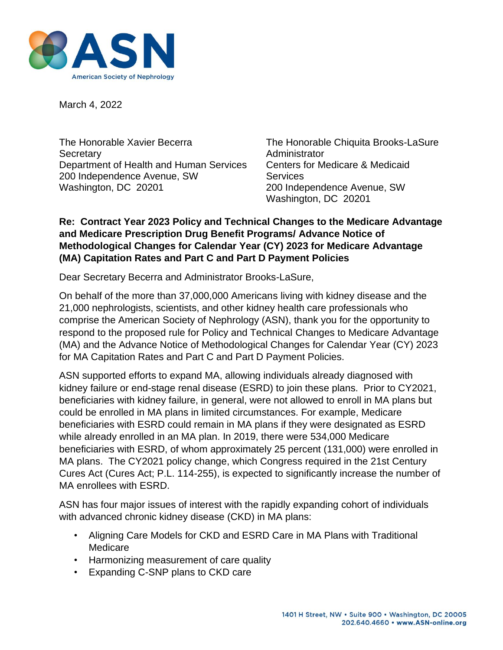

March 4, 2022

The Honorable Xavier Becerra The Honorable Chiquita Brooks-LaSure Secretary **Administrator Administrator** Department of Health and Human Services Centers for Medicare & Medicaid 200 Independence Avenue, SW Services Washington, DC 20201 200 Independence Avenue, SW

Washington, DC 20201

#### **Re: Contract Year 2023 Policy and Technical Changes to the Medicare Advantage and Medicare Prescription Drug Benefit Programs/ Advance Notice of Methodological Changes for Calendar Year (CY) 2023 for Medicare Advantage (MA) Capitation Rates and Part C and Part D Payment Policies**

Dear Secretary Becerra and Administrator Brooks-LaSure,

On behalf of the more than 37,000,000 Americans living with kidney disease and the 21,000 nephrologists, scientists, and other kidney health care professionals who comprise the American Society of Nephrology (ASN), thank you for the opportunity to respond to the proposed rule for Policy and Technical Changes to Medicare Advantage (MA) and the Advance Notice of Methodological Changes for Calendar Year (CY) 2023 for MA Capitation Rates and Part C and Part D Payment Policies.

ASN supported efforts to expand MA, allowing individuals already diagnosed with kidney failure or end-stage renal disease (ESRD) to join these plans. Prior to CY2021, beneficiaries with kidney failure, in general, were not allowed to enroll in MA plans but could be enrolled in MA plans in limited circumstances. For example, Medicare beneficiaries with ESRD could remain in MA plans if they were designated as ESRD while already enrolled in an MA plan. In 2019, there were 534,000 Medicare beneficiaries with ESRD, of whom approximately 25 percent (131,000) were enrolled in MA plans. The CY2021 policy change, which Congress required in the 21st Century Cures Act (Cures Act; P.L. 114-255), is expected to significantly increase the number of MA enrollees with ESRD.

ASN has four major issues of interest with the rapidly expanding cohort of individuals with advanced chronic kidney disease (CKD) in MA plans:

- Aligning Care Models for CKD and ESRD Care in MA Plans with Traditional **Medicare**
- Harmonizing measurement of care quality
- Expanding C-SNP plans to CKD care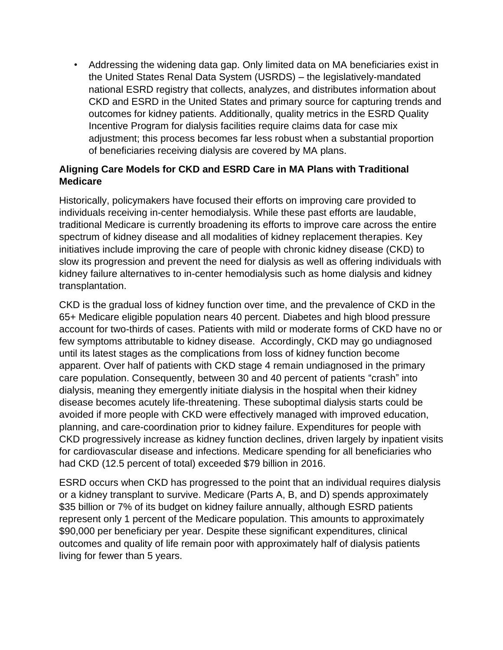• Addressing the widening data gap. Only limited data on MA beneficiaries exist in the United States Renal Data System (USRDS) – the legislatively-mandated national ESRD registry that collects, analyzes, and distributes information about CKD and ESRD in the United States and primary source for capturing trends and outcomes for kidney patients. Additionally, quality metrics in the ESRD Quality Incentive Program for dialysis facilities require claims data for case mix adjustment; this process becomes far less robust when a substantial proportion of beneficiaries receiving dialysis are covered by MA plans.

### **Aligning Care Models for CKD and ESRD Care in MA Plans with Traditional Medicare**

Historically, policymakers have focused their efforts on improving care provided to individuals receiving in-center hemodialysis. While these past efforts are laudable, traditional Medicare is currently broadening its efforts to improve care across the entire spectrum of kidney disease and all modalities of kidney replacement therapies. Key initiatives include improving the care of people with chronic kidney disease (CKD) to slow its progression and prevent the need for dialysis as well as offering individuals with kidney failure alternatives to in-center hemodialysis such as home dialysis and kidney transplantation.

CKD is the gradual loss of kidney function over time, and the prevalence of CKD in the 65+ Medicare eligible population nears 40 percent. Diabetes and high blood pressure account for two-thirds of cases. Patients with mild or moderate forms of CKD have no or few symptoms attributable to kidney disease. Accordingly, CKD may go undiagnosed until its latest stages as the complications from loss of kidney function become apparent. Over half of patients with CKD stage 4 remain undiagnosed in the primary care population. Consequently, between 30 and 40 percent of patients "crash" into dialysis, meaning they emergently initiate dialysis in the hospital when their kidney disease becomes acutely life-threatening. These suboptimal dialysis starts could be avoided if more people with CKD were effectively managed with improved education, planning, and care-coordination prior to kidney failure. Expenditures for people with CKD progressively increase as kidney function declines, driven largely by inpatient visits for cardiovascular disease and infections. Medicare spending for all beneficiaries who had CKD (12.5 percent of total) exceeded \$79 billion in 2016.

ESRD occurs when CKD has progressed to the point that an individual requires dialysis or a kidney transplant to survive. Medicare (Parts A, B, and D) spends approximately \$35 billion or 7% of its budget on kidney failure annually, although ESRD patients represent only 1 percent of the Medicare population. This amounts to approximately \$90,000 per beneficiary per year. Despite these significant expenditures, clinical outcomes and quality of life remain poor with approximately half of dialysis patients living for fewer than 5 years.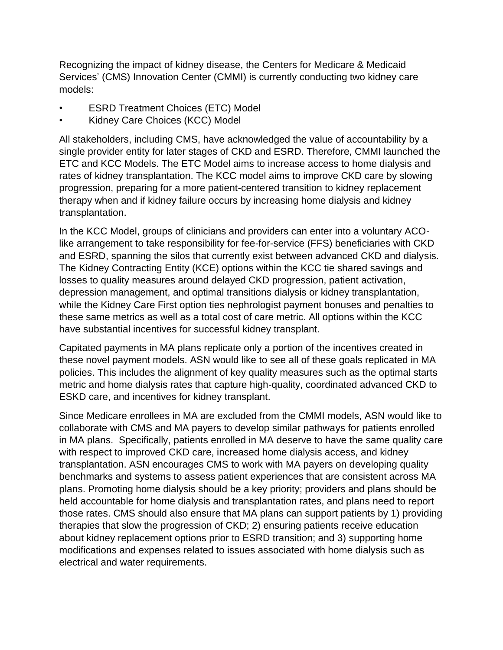Recognizing the impact of kidney disease, the Centers for Medicare & Medicaid Services' (CMS) Innovation Center (CMMI) is currently conducting two kidney care models:

- **ESRD Treatment Choices (ETC) Model**
- Kidney Care Choices (KCC) Model

All stakeholders, including CMS, have acknowledged the value of accountability by a single provider entity for later stages of CKD and ESRD. Therefore, CMMI launched the ETC and KCC Models. The ETC Model aims to increase access to home dialysis and rates of kidney transplantation. The KCC model aims to improve CKD care by slowing progression, preparing for a more patient-centered transition to kidney replacement therapy when and if kidney failure occurs by increasing home dialysis and kidney transplantation.

In the KCC Model, groups of clinicians and providers can enter into a voluntary ACOlike arrangement to take responsibility for fee-for-service (FFS) beneficiaries with CKD and ESRD, spanning the silos that currently exist between advanced CKD and dialysis. The Kidney Contracting Entity (KCE) options within the KCC tie shared savings and losses to quality measures around delayed CKD progression, patient activation, depression management, and optimal transitions dialysis or kidney transplantation, while the Kidney Care First option ties nephrologist payment bonuses and penalties to these same metrics as well as a total cost of care metric. All options within the KCC have substantial incentives for successful kidney transplant.

Capitated payments in MA plans replicate only a portion of the incentives created in these novel payment models. ASN would like to see all of these goals replicated in MA policies. This includes the alignment of key quality measures such as the optimal starts metric and home dialysis rates that capture high-quality, coordinated advanced CKD to ESKD care, and incentives for kidney transplant.

Since Medicare enrollees in MA are excluded from the CMMI models, ASN would like to collaborate with CMS and MA payers to develop similar pathways for patients enrolled in MA plans. Specifically, patients enrolled in MA deserve to have the same quality care with respect to improved CKD care, increased home dialysis access, and kidney transplantation. ASN encourages CMS to work with MA payers on developing quality benchmarks and systems to assess patient experiences that are consistent across MA plans. Promoting home dialysis should be a key priority; providers and plans should be held accountable for home dialysis and transplantation rates, and plans need to report those rates. CMS should also ensure that MA plans can support patients by 1) providing therapies that slow the progression of CKD; 2) ensuring patients receive education about kidney replacement options prior to ESRD transition; and 3) supporting home modifications and expenses related to issues associated with home dialysis such as electrical and water requirements.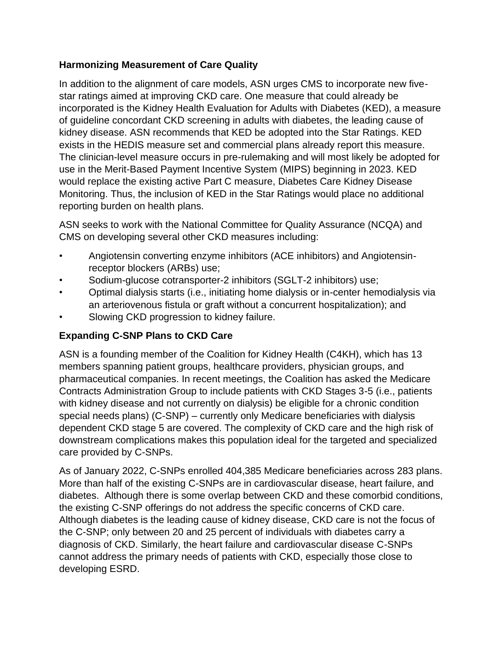## **Harmonizing Measurement of Care Quality**

In addition to the alignment of care models, ASN urges CMS to incorporate new fivestar ratings aimed at improving CKD care. One measure that could already be incorporated is the Kidney Health Evaluation for Adults with Diabetes (KED), a measure of guideline concordant CKD screening in adults with diabetes, the leading cause of kidney disease. ASN recommends that KED be adopted into the Star Ratings. KED exists in the HEDIS measure set and commercial plans already report this measure. The clinician-level measure occurs in pre-rulemaking and will most likely be adopted for use in the Merit-Based Payment Incentive System (MIPS) beginning in 2023. KED would replace the existing active Part C measure, Diabetes Care Kidney Disease Monitoring. Thus, the inclusion of KED in the Star Ratings would place no additional reporting burden on health plans.

ASN seeks to work with the National Committee for Quality Assurance (NCQA) and CMS on developing several other CKD measures including:

- Angiotensin converting enzyme inhibitors (ACE inhibitors) and Angiotensinreceptor blockers (ARBs) use;
- Sodium-glucose cotransporter-2 inhibitors (SGLT-2 inhibitors) use;
- Optimal dialysis starts (i.e., initiating home dialysis or in-center hemodialysis via an arteriovenous fistula or graft without a concurrent hospitalization); and
- Slowing CKD progression to kidney failure.

# **Expanding C-SNP Plans to CKD Care**

ASN is a founding member of the Coalition for Kidney Health (C4KH), which has 13 members spanning patient groups, healthcare providers, physician groups, and pharmaceutical companies. In recent meetings, the Coalition has asked the Medicare Contracts Administration Group to include patients with CKD Stages 3-5 (i.e., patients with kidney disease and not currently on dialysis) be eligible for a chronic condition special needs plans) (C-SNP) – currently only Medicare beneficiaries with dialysis dependent CKD stage 5 are covered. The complexity of CKD care and the high risk of downstream complications makes this population ideal for the targeted and specialized care provided by C-SNPs.

As of January 2022, C-SNPs enrolled 404,385 Medicare beneficiaries across 283 plans. More than half of the existing C-SNPs are in cardiovascular disease, heart failure, and diabetes. Although there is some overlap between CKD and these comorbid conditions, the existing C-SNP offerings do not address the specific concerns of CKD care. Although diabetes is the leading cause of kidney disease, CKD care is not the focus of the C-SNP; only between 20 and 25 percent of individuals with diabetes carry a diagnosis of CKD. Similarly, the heart failure and cardiovascular disease C-SNPs cannot address the primary needs of patients with CKD, especially those close to developing ESRD.